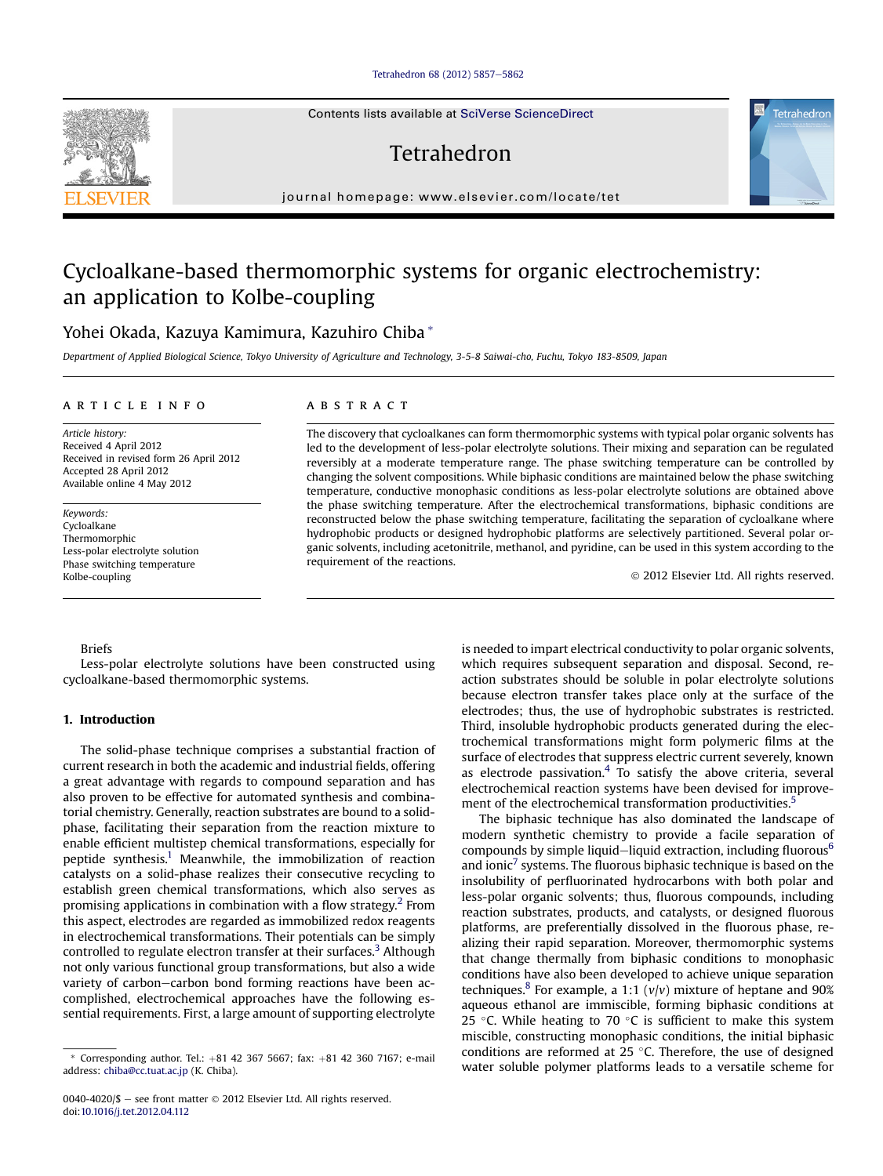### [Tetrahedron 68 \(2012\) 5857](http://dx.doi.org/10.1016/j.tet.2012.04.112)-[5862](http://dx.doi.org/10.1016/j.tet.2012.04.112)

Contents lists available at SciVerse ScienceDirect

# Tetrahedron

journal homepage: [www.elsevier.com/locate/tet](http://www.elsevier.com/locate/tet)

## Cycloalkane-based thermomorphic systems for organic electrochemistry: an application to Kolbe-coupling

## Yohei Okada, Kazuya Kamimura, Kazuhiro Chiba \*

Department of Applied Biological Science, Tokyo University of Agriculture and Technology, 3-5-8 Saiwai-cho, Fuchu, Tokyo 183-8509, Japan

## article info

Article history: Received 4 April 2012 Received in revised form 26 April 2012 Accepted 28 April 2012 Available online 4 May 2012

Keywords: Cycloalkane Thermomorphic Less-polar electrolyte solution Phase switching temperature Kolbe-coupling

## **ABSTRACT**

The discovery that cycloalkanes can form thermomorphic systems with typical polar organic solvents has led to the development of less-polar electrolyte solutions. Their mixing and separation can be regulated reversibly at a moderate temperature range. The phase switching temperature can be controlled by changing the solvent compositions. While biphasic conditions are maintained below the phase switching temperature, conductive monophasic conditions as less-polar electrolyte solutions are obtained above the phase switching temperature. After the electrochemical transformations, biphasic conditions are reconstructed below the phase switching temperature, facilitating the separation of cycloalkane where hydrophobic products or designed hydrophobic platforms are selectively partitioned. Several polar organic solvents, including acetonitrile, methanol, and pyridine, can be used in this system according to the requirement of the reactions.

2012 Elsevier Ltd. All rights reserved.

### Briefs

Less-polar electrolyte solutions have been constructed using cycloalkane-based thermomorphic systems.

## 1. Introduction

The solid-phase technique comprises a substantial fraction of current research in both the academic and industrial fields, offering a great advantage with regards to compound separation and has also proven to be effective for automated synthesis and combinatorial chemistry. Generally, reaction substrates are bound to a solidphase, facilitating their separation from the reaction mixture to enable efficient multistep chemical transformations, especially for peptide synthesis.<sup>1</sup> Meanwhile, the immobilization of reaction catalysts on a solid-phase realizes their consecutive recycling to establish green chemical transformations, which also serves as promising applications in combination with a flow strategy.<sup>2</sup> From this aspect, electrodes are regarded as immobilized redox reagents in electrochemical transformations. Their potentials can be simply controlled to regulate electron transfer at their surfaces.<sup>[3](#page-5-0)</sup> Although not only various functional group transformations, but also a wide variety of carbon-carbon bond forming reactions have been accomplished, electrochemical approaches have the following essential requirements. First, a large amount of supporting electrolyte

is needed to impart electrical conductivity to polar organic solvents, which requires subsequent separation and disposal. Second, reaction substrates should be soluble in polar electrolyte solutions because electron transfer takes place only at the surface of the electrodes; thus, the use of hydrophobic substrates is restricted. Third, insoluble hydrophobic products generated during the electrochemical transformations might form polymeric films at the surface of electrodes that suppress electric current severely, known as electrode passivation. $4$  To satisfy the above criteria, several electrochemical reaction systems have been devised for improve-ment of the electrochemical transformation productivities.<sup>[5](#page-5-0)</sup>

The biphasic technique has also dominated the landscape of modern synthetic chemistry to provide a facile separation of compounds by simple liquid-liquid extraction, including fluorous<sup>[6](#page-5-0)</sup> and ionic<sup>[7](#page-5-0)</sup> systems. The fluorous biphasic technique is based on the insolubility of perfluorinated hydrocarbons with both polar and less-polar organic solvents; thus, fluorous compounds, including reaction substrates, products, and catalysts, or designed fluorous platforms, are preferentially dissolved in the fluorous phase, realizing their rapid separation. Moreover, thermomorphic systems that change thermally from biphasic conditions to monophasic conditions have also been developed to achieve unique separation techniques.<sup>8</sup> For example, a 1:1 ( $v/v$ ) mixture of heptane and 90% aqueous ethanol are immiscible, forming biphasic conditions at 25 °C. While heating to 70 °C is sufficient to make this system miscible, constructing monophasic conditions, the initial biphasic conditions are reformed at 25  $\,^{\circ}$ C. Therefore, the use of designed Corresponding author. Tel.: +81 42 367 5667; fax: +81 42 360 7167; e-mail conditions are reformed at 25 °C. Therefore, the use of designed these chipaper platforms leads to a versatile scheme for these chipaper platforms l





address: [chiba@cc.tuat.ac.jp](mailto:chiba@cc.tuat.ac.jp) (K. Chiba).

<sup>0040-4020/\$ -</sup> see front matter  $\odot$  2012 Elsevier Ltd. All rights reserved. doi[:10.1016/j.tet.2012.04.112](http://dx.doi.org/10.1016/j.tet.2012.04.112)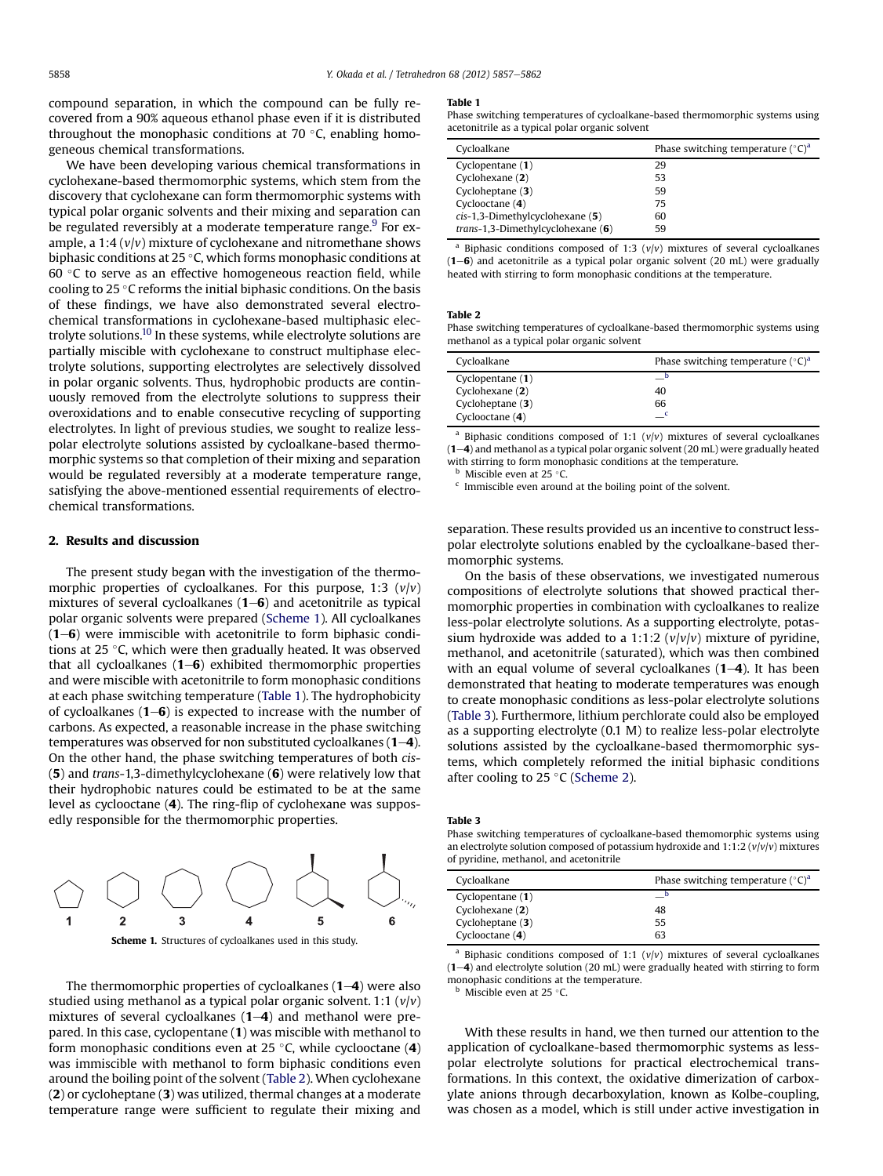compound separation, in which the compound can be fully recovered from a 90% aqueous ethanol phase even if it is distributed throughout the monophasic conditions at 70 $\degree$ C, enabling homogeneous chemical transformations.

We have been developing various chemical transformations in cyclohexane-based thermomorphic systems, which stem from the discovery that cyclohexane can form thermomorphic systems with typical polar organic solvents and their mixing and separation can be regulated reversibly at a moderate temperature range.<sup>9</sup> For example, a 1:4  $(v/v)$  mixture of cyclohexane and nitromethane shows biphasic conditions at 25 $\degree$ C, which forms monophasic conditions at 60 $\degree$ C to serve as an effective homogeneous reaction field, while cooling to 25  $\degree$ C reforms the initial biphasic conditions. On the basis of these findings, we have also demonstrated several electrochemical transformations in cyclohexane-based multiphasic electrolyte solutions[.10](#page-5-0) In these systems, while electrolyte solutions are partially miscible with cyclohexane to construct multiphase electrolyte solutions, supporting electrolytes are selectively dissolved in polar organic solvents. Thus, hydrophobic products are continuously removed from the electrolyte solutions to suppress their overoxidations and to enable consecutive recycling of supporting electrolytes. In light of previous studies, we sought to realize lesspolar electrolyte solutions assisted by cycloalkane-based thermomorphic systems so that completion of their mixing and separation would be regulated reversibly at a moderate temperature range, satisfying the above-mentioned essential requirements of electrochemical transformations.

## 2. Results and discussion

The present study began with the investigation of the thermomorphic properties of cycloalkanes. For this purpose, 1:3  $(v/v)$ mixtures of several cycloalkanes  $(1-6)$  and acetonitrile as typical polar organic solvents were prepared (Scheme 1). All cycloalkanes  $(1–6)$  were immiscible with acetonitrile to form biphasic conditions at 25  $\degree$ C, which were then gradually heated. It was observed that all cycloalkanes  $(1-6)$  exhibited thermomorphic properties and were miscible with acetonitrile to form monophasic conditions at each phase switching temperature (Table 1). The hydrophobicity of cycloalkanes  $(1-6)$  is expected to increase with the number of carbons. As expected, a reasonable increase in the phase switching temperatures was observed for non substituted cycloalkanes  $(1-4)$ . On the other hand, the phase switching temperatures of both cis- (5) and trans-1,3-dimethylcyclohexane (6) were relatively low that their hydrophobic natures could be estimated to be at the same level as cyclooctane (4). The ring-flip of cyclohexane was supposedly responsible for the thermomorphic properties.





The thermomorphic properties of cycloalkanes  $(1-4)$  were also studied using methanol as a typical polar organic solvent. 1:1  $(v/v)$ mixtures of several cycloalkanes  $(1-4)$  and methanol were prepared. In this case, cyclopentane (1) was miscible with methanol to form monophasic conditions even at 25  $\degree$ C, while cyclooctane (4) was immiscible with methanol to form biphasic conditions even around the boiling point of the solvent (Table 2). When cyclohexane (2) or cycloheptane (3) was utilized, thermal changes at a moderate temperature range were sufficient to regulate their mixing and

#### Table 1

Phase switching temperatures of cycloalkane-based thermomorphic systems using acetonitrile as a typical polar organic solvent

| Cycloalkane                         | Phase switching temperature $({}^{\circ}C)^{d}$ |
|-------------------------------------|-------------------------------------------------|
| Cyclopentane (1)                    | 29                                              |
| Cyclohexane (2)                     | 53                                              |
| Cycloheptane (3)                    | 59                                              |
| Cyclooctane (4)                     | 75                                              |
| $cis$ -1,3-Dimethylcyclohexane (5)  | 60                                              |
| trans-1,3-Dimethylcyclohexane $(6)$ | 59                                              |

<sup>a</sup> Biphasic conditions composed of 1:3  $(v/v)$  mixtures of several cycloalkanes  $(1–6)$  and acetonitrile as a typical polar organic solvent  $(20 \text{ mL})$  were gradually heated with stirring to form monophasic conditions at the temperature.

#### Table 2

Phase switching temperatures of cycloalkane-based thermomorphic systems using methanol as a typical polar organic solvent

| Cycloalkane       | Phase switching temperature $({}^{\circ}C)^{a}$ |
|-------------------|-------------------------------------------------|
| Cyclopentane (1)  |                                                 |
| Cyclohexane (2)   | 40                                              |
| Cycloheptane (3)  | 66                                              |
| Cyclooctane $(4)$ | $\equiv$ <sup>c</sup>                           |

<sup>a</sup> Biphasic conditions composed of 1:1  $(v/v)$  mixtures of several cycloalkanes  $(1-4)$  and methanol as a typical polar organic solvent (20 mL) were gradually heated with stirring to form monophasic conditions at the temperature.

 $<sup>b</sup>$  Miscible even at 25 °C.</sup>

 $\epsilon$  Immiscible even around at the boiling point of the solvent.

separation. These results provided us an incentive to construct lesspolar electrolyte solutions enabled by the cycloalkane-based thermomorphic systems.

On the basis of these observations, we investigated numerous compositions of electrolyte solutions that showed practical thermomorphic properties in combination with cycloalkanes to realize less-polar electrolyte solutions. As a supporting electrolyte, potassium hydroxide was added to a 1:1:2  $(v/v/v)$  mixture of pyridine, methanol, and acetonitrile (saturated), which was then combined with an equal volume of several cycloalkanes  $(1-4)$ . It has been demonstrated that heating to moderate temperatures was enough to create monophasic conditions as less-polar electrolyte solutions (Table 3). Furthermore, lithium perchlorate could also be employed as a supporting electrolyte (0.1 M) to realize less-polar electrolyte solutions assisted by the cycloalkane-based thermomorphic systems, which completely reformed the initial biphasic conditions after cooling to 25  $\degree$ C ([Scheme 2](#page-2-0)).

Table 3

Phase switching temperatures of cycloalkane-based themomorphic systems using an electrolyte solution composed of potassium hydroxide and  $1:1:2$  ( $v/v/v$ ) mixtures of pyridine, methanol, and acetonitrile

| Cycloalkane      | Phase switching temperature $({}^{\circ}C)^{d}$ |
|------------------|-------------------------------------------------|
| Cyclopentane (1) |                                                 |
| Cyclohexane (2)  | 48                                              |
| Cycloheptane (3) | 55                                              |
| Cyclooctane (4)  | 63                                              |

Biphasic conditions composed of 1:1  $(v/v)$  mixtures of several cycloalkanes  $(1-4)$  and electrolyte solution  $(20 \text{ mL})$  were gradually heated with stirring to form monophasic conditions at the temperature.

Miscible even at 25  $\degree$ C.

With these results in hand, we then turned our attention to the application of cycloalkane-based thermomorphic systems as lesspolar electrolyte solutions for practical electrochemical transformations. In this context, the oxidative dimerization of carboxylate anions through decarboxylation, known as Kolbe-coupling, was chosen as a model, which is still under active investigation in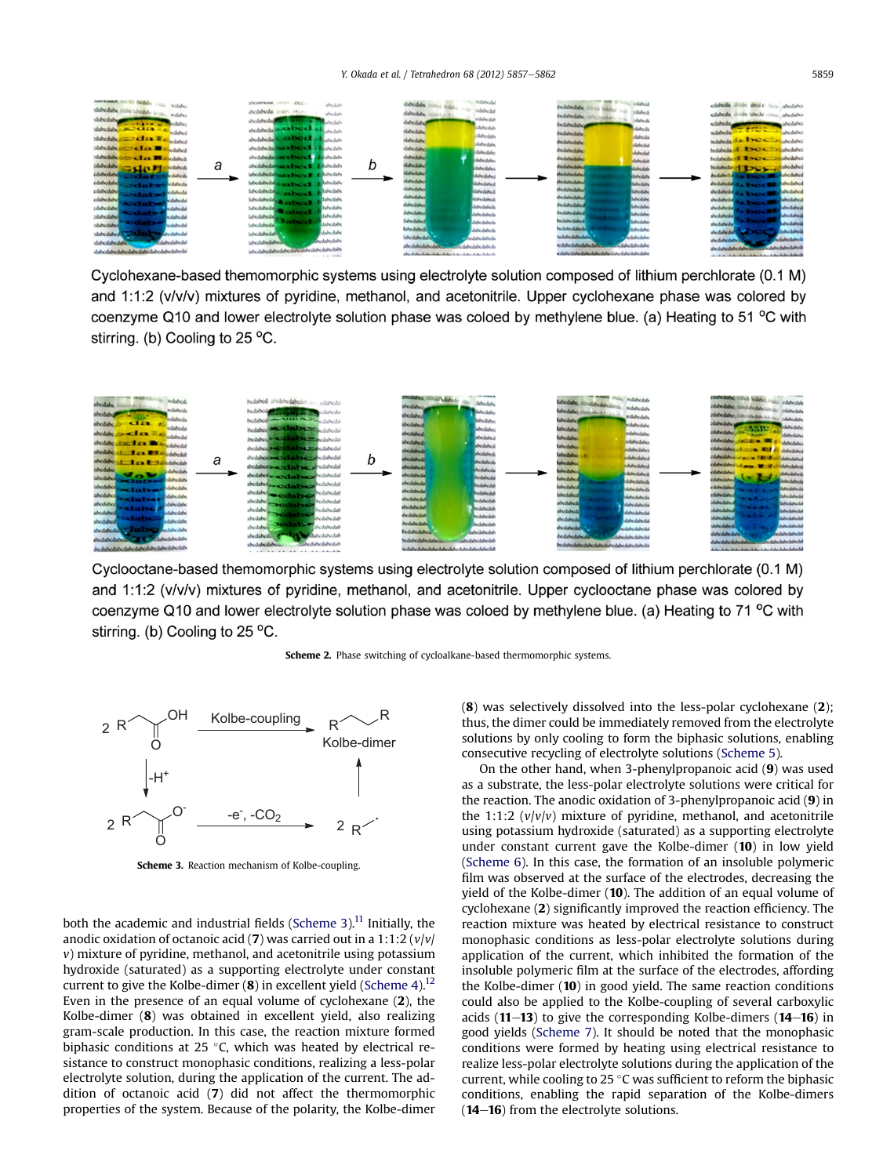<span id="page-2-0"></span>

Cyclohexane-based themomorphic systems using electrolyte solution composed of lithium perchlorate (0.1 M) and 1:1:2 (v/v/v) mixtures of pyridine, methanol, and acetonitrile. Upper cyclohexane phase was colored by coenzyme Q10 and lower electrolyte solution phase was coloed by methylene blue. (a) Heating to 51 °C with stirring. (b) Cooling to 25 °C.



Cyclooctane-based themomorphic systems using electrolyte solution composed of lithium perchlorate (0.1 M) and 1:1:2 (v/v/v) mixtures of pyridine, methanol, and acetonitrile. Upper cyclooctane phase was colored by coenzyme Q10 and lower electrolyte solution phase was coloed by methylene blue. (a) Heating to 71 °C with stirring. (b) Cooling to 25 °C.

Scheme 2. Phase switching of cycloalkane-based thermomorphic systems.



Scheme 3. Reaction mechanism of Kolbe-coupling.

both the academic and industrial fields (Scheme 3).<sup>11</sup> Initially, the anodic oxidation of octanoic acid (7) was carried out in a 1:1:2  $(v/v)$  $v$ ) mixture of pyridine, methanol, and acetonitrile using potassium hydroxide (saturated) as a supporting electrolyte under constant current to give the Kolbe-dimer  $(8)$  in excellent yield ([Scheme 4](#page-3-0)).<sup>12</sup> Even in the presence of an equal volume of cyclohexane (2), the Kolbe-dimer (8) was obtained in excellent yield, also realizing gram-scale production. In this case, the reaction mixture formed biphasic conditions at 25 $\degree$ C, which was heated by electrical resistance to construct monophasic conditions, realizing a less-polar electrolyte solution, during the application of the current. The addition of octanoic acid (7) did not affect the thermomorphic properties of the system. Because of the polarity, the Kolbe-dimer (8) was selectively dissolved into the less-polar cyclohexane (2); thus, the dimer could be immediately removed from the electrolyte solutions by only cooling to form the biphasic solutions, enabling consecutive recycling of electrolyte solutions ([Scheme 5](#page-3-0)).

On the other hand, when 3-phenylpropanoic acid (9) was used as a substrate, the less-polar electrolyte solutions were critical for the reaction. The anodic oxidation of 3-phenylpropanoic acid (9) in the 1:1:2  $(v/v/v)$  mixture of pyridine, methanol, and acetonitrile using potassium hydroxide (saturated) as a supporting electrolyte under constant current gave the Kolbe-dimer (10) in low yield ([Scheme 6\)](#page-3-0). In this case, the formation of an insoluble polymeric film was observed at the surface of the electrodes, decreasing the yield of the Kolbe-dimer (10). The addition of an equal volume of cyclohexane (2) significantly improved the reaction efficiency. The reaction mixture was heated by electrical resistance to construct monophasic conditions as less-polar electrolyte solutions during application of the current, which inhibited the formation of the insoluble polymeric film at the surface of the electrodes, affording the Kolbe-dimer (10) in good yield. The same reaction conditions could also be applied to the Kolbe-coupling of several carboxylic acids  $(11-13)$  to give the corresponding Kolbe-dimers  $(14-16)$  in good yields ([Scheme 7](#page-4-0)). It should be noted that the monophasic conditions were formed by heating using electrical resistance to realize less-polar electrolyte solutions during the application of the current, while cooling to 25  $\degree$ C was sufficient to reform the biphasic conditions, enabling the rapid separation of the Kolbe-dimers  $(14-16)$  from the electrolyte solutions.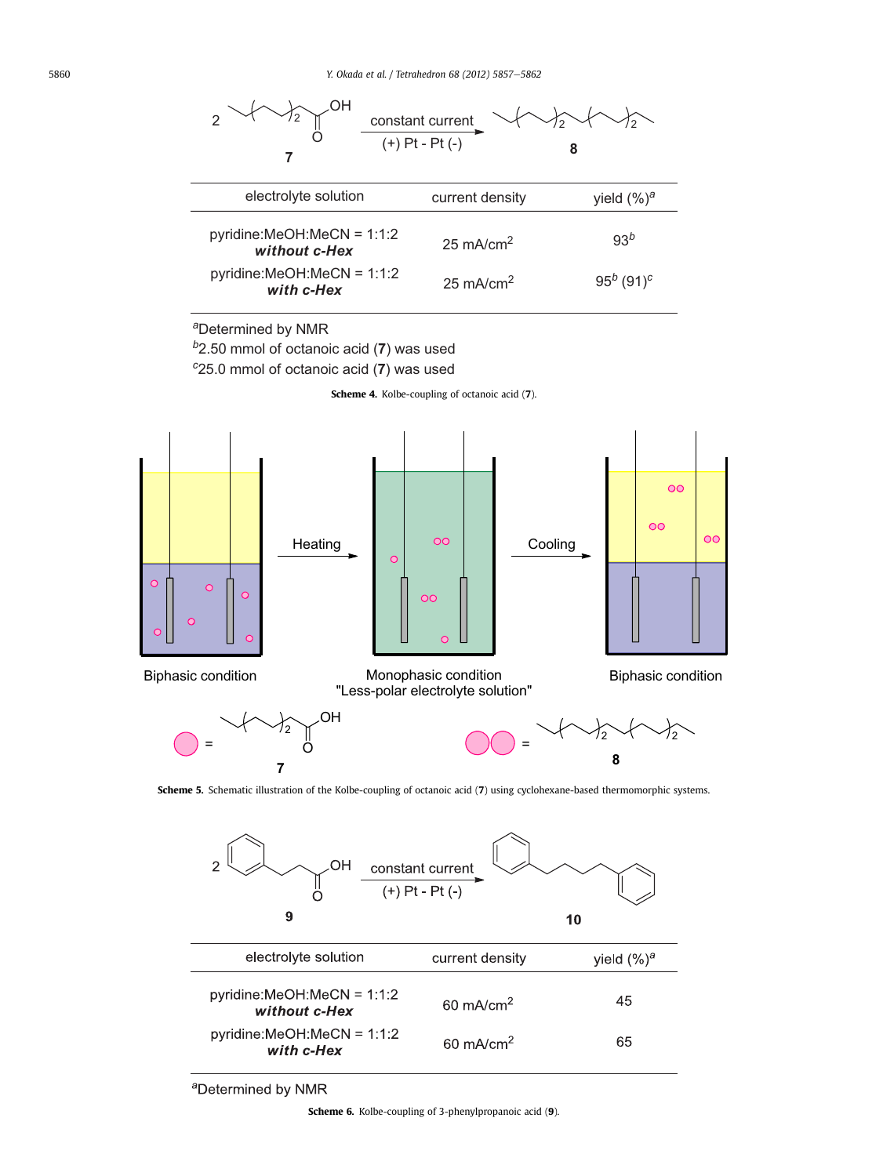<span id="page-3-0"></span>



<sup>a</sup>Determined by NMR

Scheme 6. Kolbe-coupling of 3-phenylpropanoic acid (9).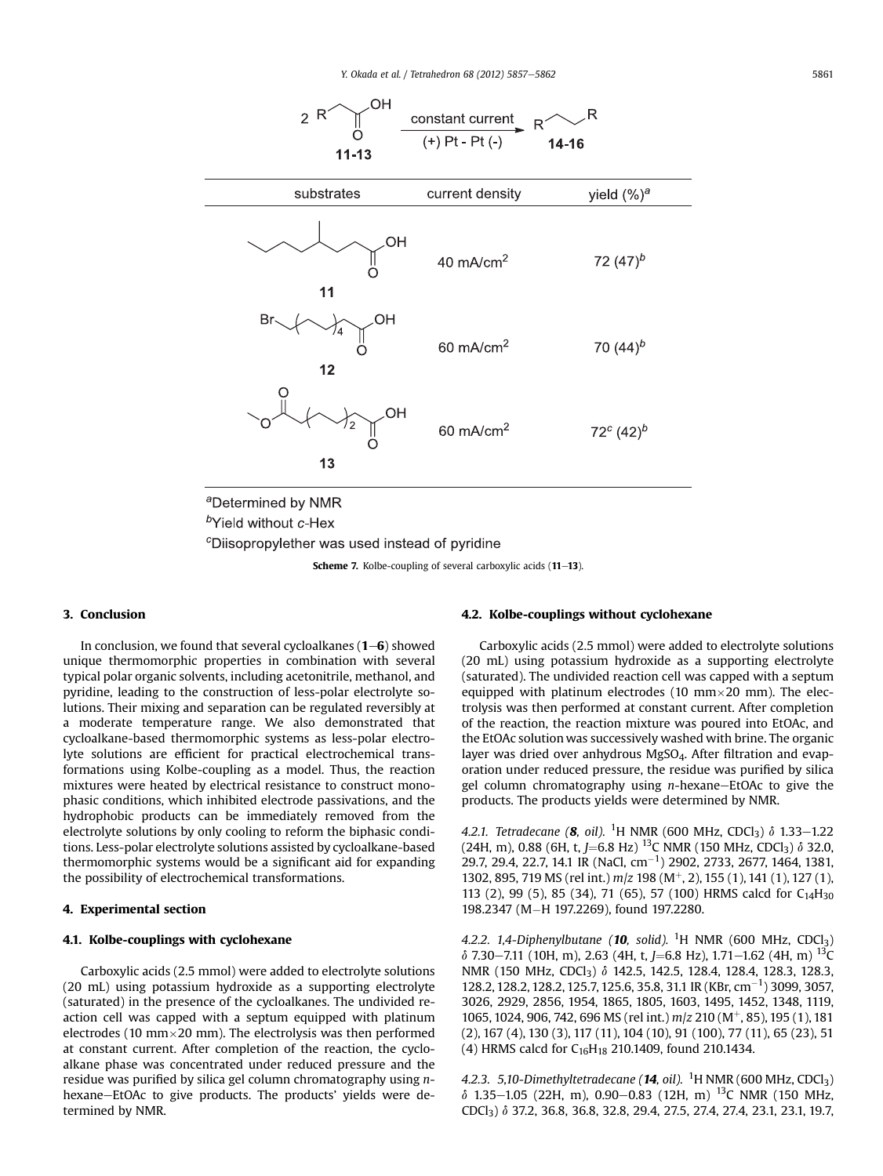<span id="page-4-0"></span>

<sup>c</sup>Diisopropylether was used instead of pyridine

Scheme 7. Kolbe-coupling of several carboxylic acids (11-13).

## 3. Conclusion

In conclusion, we found that several cycloalkanes  $(1-\mathbf{6})$  showed unique thermomorphic properties in combination with several typical polar organic solvents, including acetonitrile, methanol, and pyridine, leading to the construction of less-polar electrolyte solutions. Their mixing and separation can be regulated reversibly at a moderate temperature range. We also demonstrated that cycloalkane-based thermomorphic systems as less-polar electrolyte solutions are efficient for practical electrochemical transformations using Kolbe-coupling as a model. Thus, the reaction mixtures were heated by electrical resistance to construct monophasic conditions, which inhibited electrode passivations, and the hydrophobic products can be immediately removed from the electrolyte solutions by only cooling to reform the biphasic conditions. Less-polar electrolyte solutions assisted by cycloalkane-based thermomorphic systems would be a significant aid for expanding the possibility of electrochemical transformations.

## 4. Experimental section

## 4.1. Kolbe-couplings with cyclohexane

Carboxylic acids (2.5 mmol) were added to electrolyte solutions (20 mL) using potassium hydroxide as a supporting electrolyte (saturated) in the presence of the cycloalkanes. The undivided reaction cell was capped with a septum equipped with platinum electrodes (10 mm $\times$ 20 mm). The electrolysis was then performed at constant current. After completion of the reaction, the cycloalkane phase was concentrated under reduced pressure and the residue was purified by silica gel column chromatography using nhexane-EtOAc to give products. The products' yields were determined by NMR.

## 4.2. Kolbe-couplings without cyclohexane

Carboxylic acids (2.5 mmol) were added to electrolyte solutions (20 mL) using potassium hydroxide as a supporting electrolyte (saturated). The undivided reaction cell was capped with a septum equipped with platinum electrodes (10 mm $\times$ 20 mm). The electrolysis was then performed at constant current. After completion of the reaction, the reaction mixture was poured into EtOAc, and the EtOAc solution was successively washed with brine. The organic layer was dried over anhydrous MgSO<sub>4</sub>. After filtration and evaporation under reduced pressure, the residue was purified by silica gel column chromatography using  $n$ -hexane-EtOAc to give the products. The products yields were determined by NMR.

4.2.1. Tetradecane (8, oil). <sup>1</sup>H NMR (600 MHz, CDCl<sub>3</sub>)  $\delta$  1.33–1.22 (24H, m), 0.88 (6H, t, J=6.8 Hz) <sup>13</sup>C NMR (150 MHz, CDCl<sub>3</sub>)  $\delta$  32.0, 29.7, 29.4, 22.7, 14.1 IR (NaCl, cm<sup>-1</sup>) 2902, 2733, 2677, 1464, 1381, 1302, 895, 719 MS (rel int.)  $m/z$  198 (M<sup>+</sup>, 2), 155 (1), 141 (1), 127 (1), 113 (2), 99 (5), 85 (34), 71 (65), 57 (100) HRMS calcd for C14H30 198.2347 (M-H 197.2269), found 197.2280.

4.2.2. 1,4-Diphenylbutane (10, solid). <sup>1</sup>H NMR (600 MHz, CDCl<sub>3</sub>)  $\delta$  7.30–7.11 (10H, m), 2.63 (4H, t, J=6.8 Hz), 1.71–1.62 (4H, m) <sup>13</sup>C NMR (150 MHz, CDCl<sub>3</sub>) δ 142.5, 142.5, 128.4, 128.4, 128.3, 128.3, 128.2, 128.2, 128.2, 125.7, 125.6, 35.8, 31.1 IR (KBr, cm<sup>-1</sup>) 3099, 3057, 3026, 2929, 2856, 1954, 1865, 1805, 1603, 1495, 1452, 1348, 1119, 1065, 1024, 906, 742, 696 MS (rel int.)  $m/z$  210 (M<sup>+</sup>, 85), 195 (1), 181 (2), 167 (4), 130 (3), 117 (11), 104 (10), 91 (100), 77 (11), 65 (23), 51 (4) HRMS calcd for  $C_{16}H_{18}$  210.1409, found 210.1434.

4.2.3. 5,10-Dimethyltetradecane ( $14$ , oil).  $^{1}$ H NMR (600 MHz, CDCl<sub>3</sub>)  $\delta$  1.35-1.05 (22H, m), 0.90-0.83 (12H, m) <sup>13</sup>C NMR (150 MHz, CDCl3) d 37.2, 36.8, 36.8, 32.8, 29.4, 27.5, 27.4, 27.4, 23.1, 23.1, 19.7,